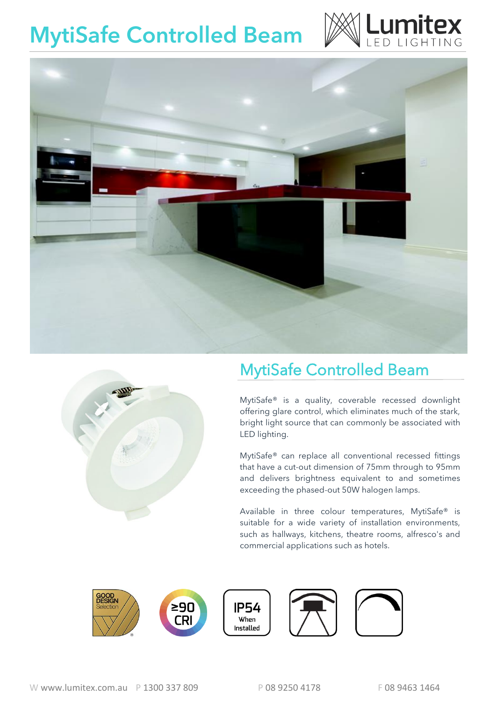## **MytiSafe Controlled Beam**







### MytiSafe Controlled Beam

MytiSafe® is a quality, coverable recessed downlight offering glare control, which eliminates much of the stark, bright light source that can commonly be associated with LED lighting.

MytiSafe® can replace all conventional recessed fittings that have a cut-out dimension of 75mm through to 95mm and delivers brightness equivalent to and sometimes exceeding the phased-out 50W halogen lamps.

Available in three colour temperatures, MytiSafe® is suitable for a wide variety of installation environments, such as hallways, kitchens, theatre rooms, alfresco's and commercial applications such as hotels.